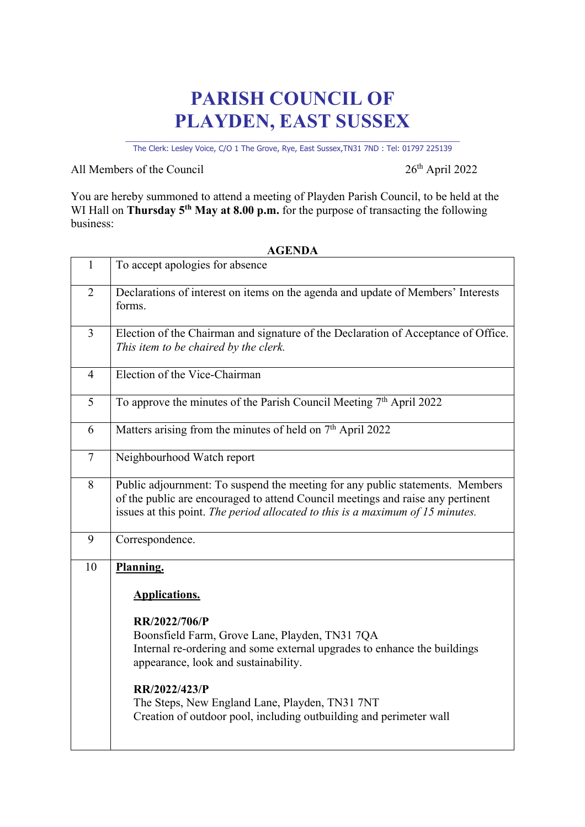## **PARISH COUNCIL OF PLAYDEN, EAST SUSSEX**

\_\_\_\_\_\_\_\_\_\_\_\_\_\_\_\_\_\_\_\_\_\_\_\_\_\_\_\_\_\_\_\_\_\_\_\_\_\_\_\_\_\_\_\_\_\_\_\_\_\_\_\_\_\_\_\_\_\_\_\_\_\_\_\_\_\_\_\_ The Clerk: Lesley Voice, C/O 1 The Grove, Rye, East Sussex,TN31 7ND : Tel: 01797 225139

All Members of the Council 26<sup>th</sup> April 2022

You are hereby summoned to attend a meeting of Playden Parish Council, to be held at the WI Hall on **Thursday 5<sup>th</sup> May at 8.00 p.m.** for the purpose of transacting the following business:

| $\mathbf{1}$   | To accept apologies for absence                                                                                                                                                                                                                                                                                                                                   |
|----------------|-------------------------------------------------------------------------------------------------------------------------------------------------------------------------------------------------------------------------------------------------------------------------------------------------------------------------------------------------------------------|
| $\overline{2}$ | Declarations of interest on items on the agenda and update of Members' Interests<br>forms.                                                                                                                                                                                                                                                                        |
| $\overline{3}$ | Election of the Chairman and signature of the Declaration of Acceptance of Office.<br>This item to be chaired by the clerk.                                                                                                                                                                                                                                       |
| $\overline{4}$ | Election of the Vice-Chairman                                                                                                                                                                                                                                                                                                                                     |
| 5              | To approve the minutes of the Parish Council Meeting 7 <sup>th</sup> April 2022                                                                                                                                                                                                                                                                                   |
| 6              | Matters arising from the minutes of held on 7 <sup>th</sup> April 2022                                                                                                                                                                                                                                                                                            |
| $\overline{7}$ | Neighbourhood Watch report                                                                                                                                                                                                                                                                                                                                        |
| 8              | Public adjournment: To suspend the meeting for any public statements. Members<br>of the public are encouraged to attend Council meetings and raise any pertinent<br>issues at this point. The period allocated to this is a maximum of 15 minutes.                                                                                                                |
| 9              | Correspondence.                                                                                                                                                                                                                                                                                                                                                   |
| 10             | Planning.<br><b>Applications.</b><br>RR/2022/706/P<br>Boonsfield Farm, Grove Lane, Playden, TN31 7QA<br>Internal re-ordering and some external upgrades to enhance the buildings<br>appearance, look and sustainability.<br>RR/2022/423/P<br>The Steps, New England Lane, Playden, TN31 7NT<br>Creation of outdoor pool, including outbuilding and perimeter wall |

## **AGENDA**